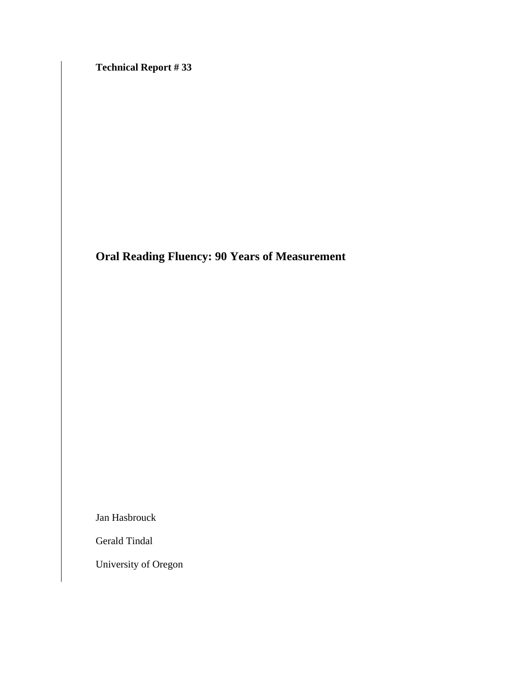**Technical Report # 33** 

**Oral Reading Fluency: 90 Years of Measurement** 

Jan Hasbrouck

Gerald Tindal

University of Oregon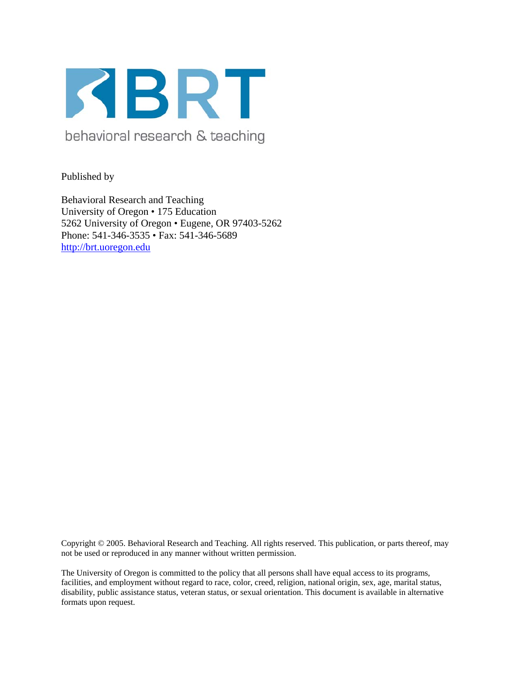

behavioral research & teaching

Published by

Behavioral Research and Teaching University of Oregon • 175 Education 5262 University of Oregon • Eugene, OR 97403-5262 Phone: 541-346-3535 • Fax: 541-346-5689 http://brt.uoregon.edu

Copyright © 2005. Behavioral Research and Teaching. All rights reserved. This publication, or parts thereof, may not be used or reproduced in any manner without written permission.

The University of Oregon is committed to the policy that all persons shall have equal access to its programs, facilities, and employment without regard to race, color, creed, religion, national origin, sex, age, marital status, disability, public assistance status, veteran status, or sexual orientation. This document is available in alternative formats upon request.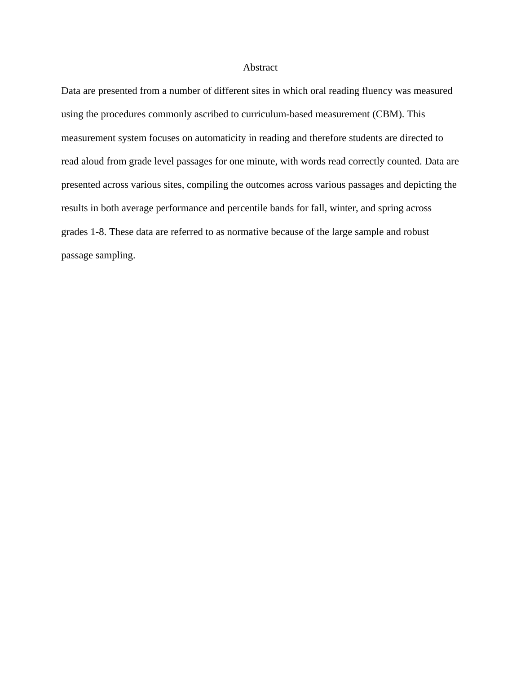#### Abstract

Data are presented from a number of different sites in which oral reading fluency was measured using the procedures commonly ascribed to curriculum-based measurement (CBM). This measurement system focuses on automaticity in reading and therefore students are directed to read aloud from grade level passages for one minute, with words read correctly counted. Data are presented across various sites, compiling the outcomes across various passages and depicting the results in both average performance and percentile bands for fall, winter, and spring across grades 1-8. These data are referred to as normative because of the large sample and robust passage sampling.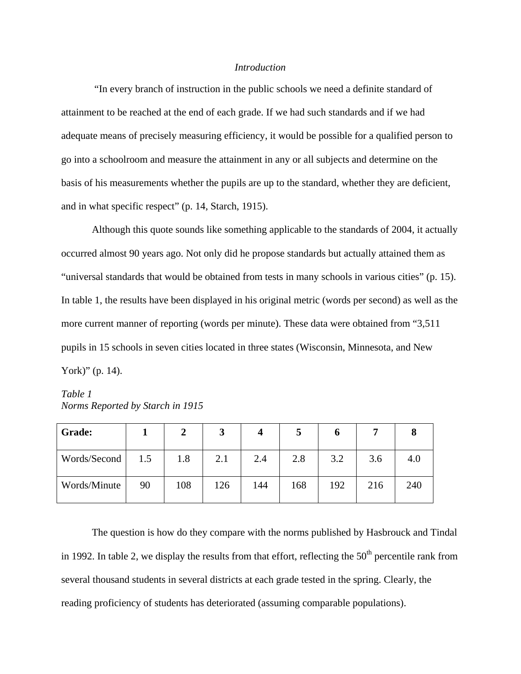#### *Introduction*

 "In every branch of instruction in the public schools we need a definite standard of attainment to be reached at the end of each grade. If we had such standards and if we had adequate means of precisely measuring efficiency, it would be possible for a qualified person to go into a schoolroom and measure the attainment in any or all subjects and determine on the basis of his measurements whether the pupils are up to the standard, whether they are deficient, and in what specific respect" (p. 14, Starch, 1915).

Although this quote sounds like something applicable to the standards of 2004, it actually occurred almost 90 years ago. Not only did he propose standards but actually attained them as "universal standards that would be obtained from tests in many schools in various cities" (p. 15). In table 1, the results have been displayed in his original metric (words per second) as well as the more current manner of reporting (words per minute). These data were obtained from "3,511 pupils in 15 schools in seven cities located in three states (Wisconsin, Minnesota, and New York)" (p. 14).

*Table 1 Norms Reported by Starch in 1915* 

| Grade:       |     | 2   | 3   |     | $\mathbf{c}$ | O   |     |     |
|--------------|-----|-----|-----|-----|--------------|-----|-----|-----|
| Words/Second | 1.5 | 1.8 | 2.1 | 2.4 | 2.8          | 3.2 | 3.6 | 4.0 |
| Words/Minute | 90  | 108 | 126 | 144 | 168          | 192 | 216 | 240 |

The question is how do they compare with the norms published by Hasbrouck and Tindal in 1992. In table 2, we display the results from that effort, reflecting the  $50<sup>th</sup>$  percentile rank from several thousand students in several districts at each grade tested in the spring. Clearly, the reading proficiency of students has deteriorated (assuming comparable populations).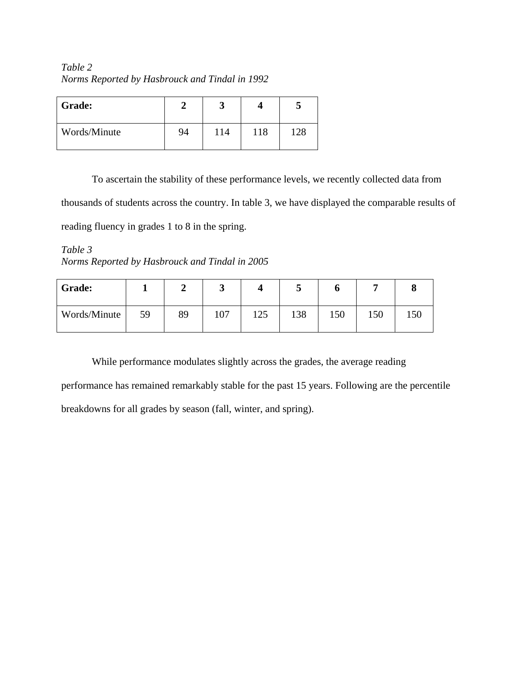*Table 2 Norms Reported by Hasbrouck and Tindal in 1992* 

| <b>Grade:</b> |    |     |     |     |
|---------------|----|-----|-----|-----|
| Words/Minute  | 94 | 114 | 118 | 128 |

To ascertain the stability of these performance levels, we recently collected data from thousands of students across the country. In table 3, we have displayed the comparable results of reading fluency in grades 1 to 8 in the spring.

*Table 3 Norms Reported by Hasbrouck and Tindal in 2005* 

| Grade:       |    |    | ັ   |     | ັ   | U   |     |     |
|--------------|----|----|-----|-----|-----|-----|-----|-----|
| Words/Minute | 59 | 89 | 107 | 125 | 138 | 150 | 150 | 150 |

While performance modulates slightly across the grades, the average reading

performance has remained remarkably stable for the past 15 years. Following are the percentile breakdowns for all grades by season (fall, winter, and spring).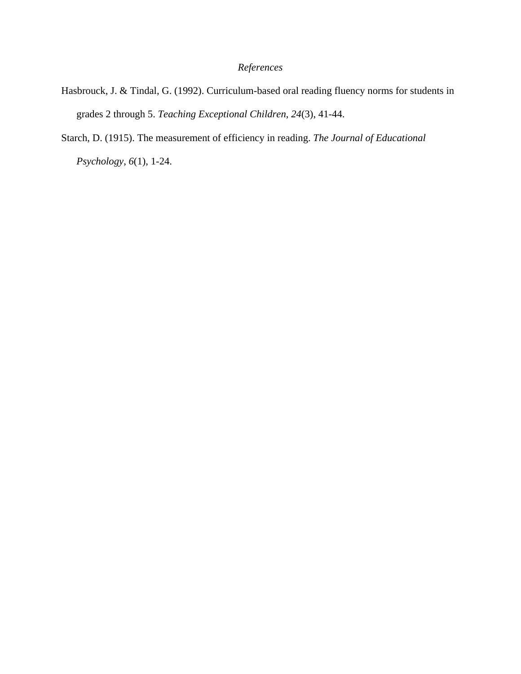# *References*

- Hasbrouck, J. & Tindal, G. (1992). Curriculum-based oral reading fluency norms for students in grades 2 through 5. *Teaching Exceptional Children*, *24*(3), 41-44.
- Starch, D. (1915). The measurement of efficiency in reading. *The Journal of Educational Psychology*, *6*(1), 1-24.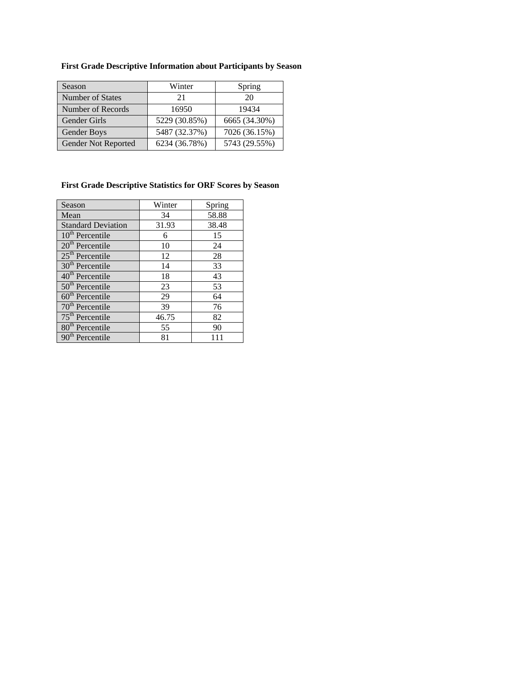| Season              | Winter        | Spring        |
|---------------------|---------------|---------------|
| Number of States    | 21            | 20            |
| Number of Records   | 16950         | 19434         |
| <b>Gender Girls</b> | 5229 (30.85%) | 6665 (34.30%) |
| Gender Boys         | 5487 (32.37%) | 7026 (36.15%) |

**First Grade Descriptive Information about Participants by Season** 

## **First Grade Descriptive Statistics for ORF Scores by Season**

Gender Not Reported 6234 (36.78%) 5743 (29.55%)

| Season                    | Winter | Spring |
|---------------------------|--------|--------|
| Mean                      | 34     | 58.88  |
| <b>Standard Deviation</b> | 31.93  | 38.48  |
| $10th$ Percentile         | 6      | 15     |
| $20th$ Percentile         | 10     | 24     |
| $25th$ Percentile         | 12     | 28     |
| $30th$ Percentile         | 14     | 33     |
| $40th$ Percentile         | 18     | 43     |
| $50th$ Percentile         | 23     | 53     |
| $60th$ Percentile         | 29     | 64     |
| $70th$ Percentile         | 39     | 76     |
| $75th$ Percentile         | 46.75  | 82     |
| $80th$ Percentile         | 55     | 90     |
| $90th$ Percentile         | 81     | 111    |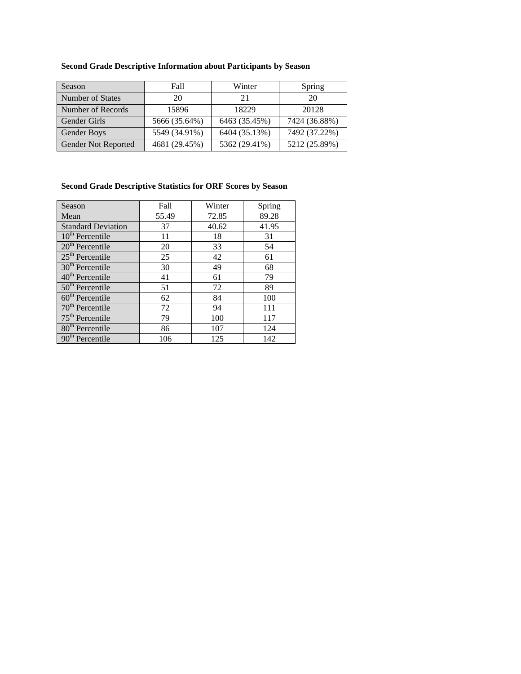|  |  |  | <b>Second Grade Descriptive Information about Participants by Season</b> |
|--|--|--|--------------------------------------------------------------------------|
|  |  |  |                                                                          |

| Season                     | Fall          | Winter        | Spring        |
|----------------------------|---------------|---------------|---------------|
| Number of States           | 20            | 21            | 20            |
| Number of Records          | 15896         | 18229         | 20128         |
| Gender Girls               | 5666 (35.64%) | 6463 (35.45%) | 7424 (36.88%) |
| <b>Gender Boys</b>         | 5549 (34.91%) | 6404 (35.13%) | 7492 (37.22%) |
| <b>Gender Not Reported</b> | 4681 (29.45%) | 5362 (29.41%) | 5212 (25.89%) |

## **Second Grade Descriptive Statistics for ORF Scores by Season**

| Season                                 | Fall  | Winter | Spring |
|----------------------------------------|-------|--------|--------|
| Mean                                   | 55.49 | 72.85  | 89.28  |
| <b>Standard Deviation</b>              | 37    | 40.62  | 41.95  |
| $10th$ Percentile                      | 11    | 18     | 31     |
| $20th$ Percentile                      | 20    | 33     | 54     |
| $25th$ Percentile                      | 25    | 42     | 61     |
| $30th$ Percentile                      | 30    | 49     | 68     |
| $\overline{40}^{\text{th}}$ Percentile | 41    | 61     | 79     |
| $50th$ Percentile                      | 51    | 72     | 89     |
| $60th$ Percentile                      | 62    | 84     | 100    |
| $70th$ Percentile                      | 72    | 94     | 111    |
| $75th$ Percentile                      | 79    | 100    | 117    |
| 80 <sup>th</sup> Percentile            | 86    | 107    | 124    |
| 90 <sup>th</sup> Percentile            | 106   | 125    | 142    |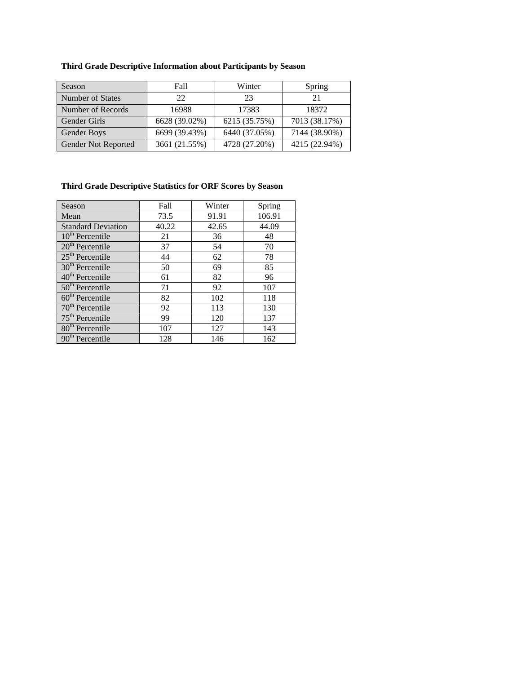## **Third Grade Descriptive Information about Participants by Season**

| Season                     | Fall          | Winter        | Spring        |
|----------------------------|---------------|---------------|---------------|
| Number of States           | 22            | 23            | 21            |
| Number of Records          | 16988         | 17383         | 18372         |
| Gender Girls               | 6628 (39.02%) | 6215 (35.75%) | 7013 (38.17%) |
| <b>Gender Boys</b>         | 6699 (39.43%) | 6440 (37.05%) | 7144 (38.90%) |
| <b>Gender Not Reported</b> | 3661 (21.55%) | 4728 (27.20%) | 4215 (22.94%) |

# **Third Grade Descriptive Statistics for ORF Scores by Season**

| Season                      | Fall  | Winter | Spring |
|-----------------------------|-------|--------|--------|
| Mean                        | 73.5  | 91.91  | 106.91 |
| <b>Standard Deviation</b>   | 40.22 | 42.65  | 44.09  |
| $10th$ Percentile           | 21    | 36     | 48     |
| $20th$ Percentile           | 37    | 54     | 70     |
| $25th$ Percentile           | 44    | 62     | 78     |
| $30th$ Percentile           | 50    | 69     | 85     |
| $40th$ Percentile           | 61    | 82     | 96     |
| $50th$ Percentile           | 71    | 92     | 107    |
| $60th$ Percentile           | 82    | 102    | 118    |
| $70th$ Percentile           | 92    | 113    | 130    |
| $75th$ Percentile           | 99    | 120    | 137    |
| 80 <sup>th</sup> Percentile | 107   | 127    | 143    |
| 90 <sup>th</sup> Percentile | 128   | 146    | 162    |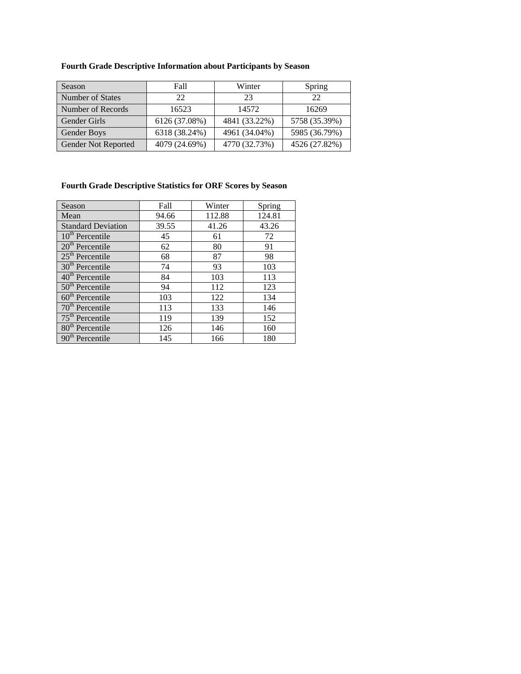|  | <b>Fourth Grade Descriptive Information about Participants by Season</b> |  |  |
|--|--------------------------------------------------------------------------|--|--|
|  |                                                                          |  |  |

| 22    | 23                                              | 22                                              |
|-------|-------------------------------------------------|-------------------------------------------------|
|       |                                                 |                                                 |
| 16523 | 14572                                           | 16269                                           |
|       |                                                 | 5758 (35.39%)                                   |
|       |                                                 | 5985 (36.79%)                                   |
|       |                                                 | 4526 (27.82%)                                   |
|       | 6126 (37.08%)<br>6318 (38.24%)<br>4079 (24.69%) | 4841 (33.22%)<br>4961 (34.04%)<br>4770 (32.73%) |

## **Fourth Grade Descriptive Statistics for ORF Scores by Season**

| Season                      | Fall  | Winter | Spring |
|-----------------------------|-------|--------|--------|
| Mean                        | 94.66 | 112.88 | 124.81 |
| <b>Standard Deviation</b>   | 39.55 | 41.26  | 43.26  |
| $10th$ Percentile           | 45    | 61     | 72     |
| $20th$ Percentile           | 62    | 80     | 91     |
| $25th$ Percentile           | 68    | 87     | 98     |
| 30 <sup>th</sup> Percentile | 74    | 93     | 103    |
| $40th$ Percentile           | 84    | 103    | 113    |
| $50th$ Percentile           | 94    | 112    | 123    |
| $60th$ Percentile           | 103   | 122    | 134    |
| $70th$ Percentile           | 113   | 133    | 146    |
| $75th$ Percentile           | 119   | 139    | 152    |
| $80th$ Percentile           | 126   | 146    | 160    |
| 90 <sup>th</sup> Percentile | 145   | 166    | 180    |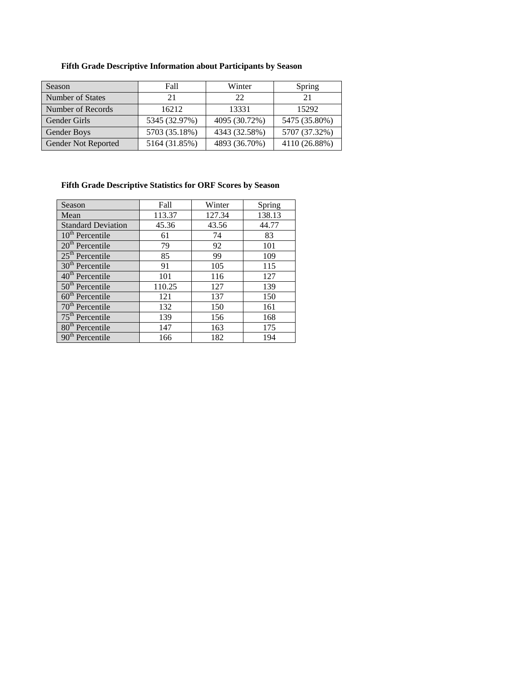## **Fifth Grade Descriptive Information about Participants by Season**

| Season              | Fall          | Winter        | Spring        |
|---------------------|---------------|---------------|---------------|
| Number of States    | 21            | 22.           | 21            |
| Number of Records   | 16212         | 13331         | 15292         |
| Gender Girls        | 5345 (32.97%) | 4095 (30.72%) | 5475 (35.80%) |
| Gender Boys         | 5703 (35.18%) | 4343 (32.58%) | 5707 (37.32%) |
| Gender Not Reported | 5164 (31.85%) | 4893 (36.70%) | 4110 (26.88%) |

## **Fifth Grade Descriptive Statistics for ORF Scores by Season**

| Season                      | Fall   | Winter | Spring |
|-----------------------------|--------|--------|--------|
| Mean                        | 113.37 | 127.34 | 138.13 |
| <b>Standard Deviation</b>   | 45.36  | 43.56  | 44.77  |
| $10th$ Percentile           | 61     | 74     | 83     |
| $20th$ Percentile           | 79     | 92     | 101    |
| $25th$ Percentile           | 85     | 99     | 109    |
| $30th$ Percentile           | 91     | 105    | 115    |
| $40th$ Percentile           | 101    | 116    | 127    |
| $50th$ Percentile           | 110.25 | 127    | 139    |
| $60th$ Percentile           | 121    | 137    | 150    |
| $70th$ Percentile           | 132    | 150    | 161    |
| $75th$ Percentile           | 139    | 156    | 168    |
| 80 <sup>th</sup> Percentile | 147    | 163    | 175    |
| 90 <sup>th</sup> Percentile | 166    | 182    | 194    |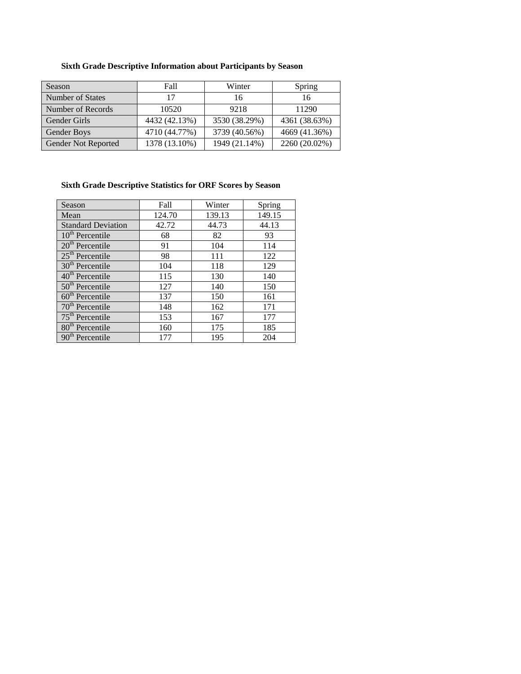## **Sixth Grade Descriptive Information about Participants by Season**

| <b>Season</b>       | Fall          | Winter        | Spring        |
|---------------------|---------------|---------------|---------------|
| Number of States    | 17            | 16            | 16            |
| Number of Records   | 10520         | 9218          | 11290         |
| Gender Girls        | 4432 (42.13%) | 3530 (38.29%) | 4361 (38.63%) |
| Gender Boys         | 4710 (44.77%) | 3739 (40.56%) | 4669 (41.36%) |
| Gender Not Reported | 1378 (13.10%) | 1949 (21.14%) | 2260 (20.02%) |

## **Sixth Grade Descriptive Statistics for ORF Scores by Season**

| Season                      | Fall   | Winter | Spring |
|-----------------------------|--------|--------|--------|
| Mean                        | 124.70 | 139.13 | 149.15 |
| <b>Standard Deviation</b>   | 42.72  | 44.73  | 44.13  |
| $10th$ Percentile           | 68     | 82     | 93     |
| $20th$ Percentile           | 91     | 104    | 114    |
| $25th$ Percentile           | 98     | 111    | 122    |
| $30th$ Percentile           | 104    | 118    | 129    |
| $40th$ Percentile           | 115    | 130    | 140    |
| $50th$ Percentile           | 127    | 140    | 150    |
| $60th$ Percentile           | 137    | 150    | 161    |
| $70th$ Percentile           | 148    | 162    | 171    |
| $75th$ Percentile           | 153    | 167    | 177    |
| 80 <sup>th</sup> Percentile | 160    | 175    | 185    |
| 90 <sup>th</sup> Percentile | 177    | 195    | 204    |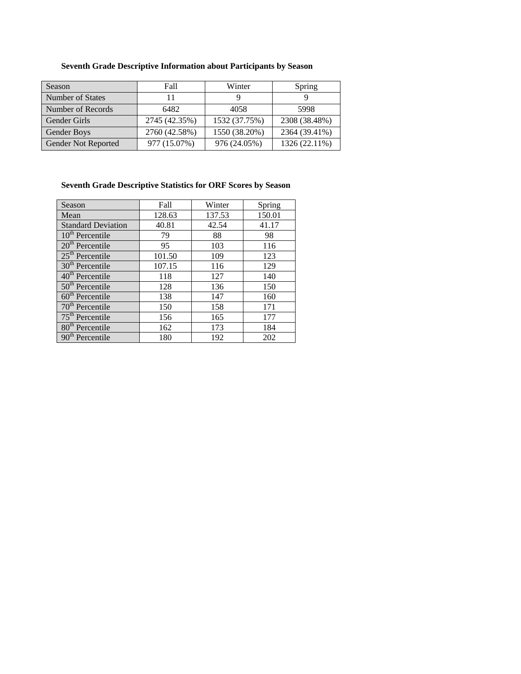| Season              | Fall          | Winter        | Spring        |
|---------------------|---------------|---------------|---------------|
| Number of States    | 11            |               |               |
| Number of Records   | 6482          | 4058          | 5998          |
| <b>Gender Girls</b> | 2745 (42.35%) | 1532 (37.75%) | 2308 (38.48%) |
| Gender Boys         | 2760 (42.58%) | 1550 (38.20%) | 2364 (39.41%) |
| Gender Not Reported | 977 (15.07%)  | 976 (24.05%)  | 1326 (22.11%) |

## **Seventh Grade Descriptive Information about Participants by Season**

## **Seventh Grade Descriptive Statistics for ORF Scores by Season**

| Season                      | Fall   | Winter | Spring |
|-----------------------------|--------|--------|--------|
| Mean                        | 128.63 | 137.53 | 150.01 |
| <b>Standard Deviation</b>   | 40.81  | 42.54  | 41.17  |
| $10th$ Percentile           | 79     | 88     | 98     |
| $20th$ Percentile           | 95     | 103    | 116    |
| $25th$ Percentile           | 101.50 | 109    | 123    |
| $30th$ Percentile           | 107.15 | 116    | 129    |
| $40th$ Percentile           | 118    | 127    | 140    |
| $50th$ Percentile           | 128    | 136    | 150    |
| $60th$ Percentile           | 138    | 147    | 160    |
| $70th$ Percentile           | 150    | 158    | 171    |
| $75th$ Percentile           | 156    | 165    | 177    |
| 80 <sup>th</sup> Percentile | 162    | 173    | 184    |
| $90th$ Percentile           | 180    | 192    | 202    |